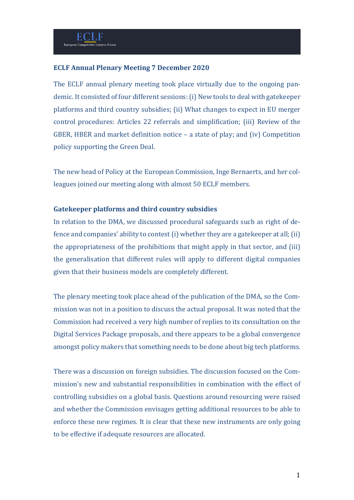### **ECLF Annual Plenary Meeting 7 December 2020**

The ECLF annual plenary meeting took place virtually due to the ongoing pandemic. It consisted of four different sessions:(i) New tools to deal with gatekeeper platforms and third country subsidies; (ii) What changes to expect in EU merger control procedures: Articles 22 referrals and simplification; (iii) Review of the GBER, HBER and market definition notice – a state of play; and (iv) Competition policy supporting the Green Deal.

The new head of Policy at the European Commission, Inge Bernaerts, and her colleagues joined our meeting along with almost 50 ECLF members.

### **Gatekeeper platforms and third country subsidies**

In relation to the DMA, we discussed procedural safeguards such as right of defence and companies' ability to contest(i) whether they are a gatekeeper at all;(ii) the appropriateness of the prohibitions that might apply in that sector, and (iii) the generalisation that different rules will apply to different digital companies given that their business models are completely different.

The plenary meeting took place ahead of the publication of the DMA, so the Commission was not in a position to discuss the actual proposal. It was noted that the Commission had received a very high number of replies to its consultation on the Digital Services Package proposals, and there appears to be a global convergence amongst policy makers that something needs to be done about big tech platforms.

There was a discussion on foreign subsidies. The discussion focused on the Commission's new and substantial responsibilities in combination with the effect of controlling subsidies on a global basis. Questions around resourcing were raised and whether the Commission envisages getting additional resources to be able to enforce these new regimes. It is clear that these new instruments are only going to be effective if adequate resources are allocated.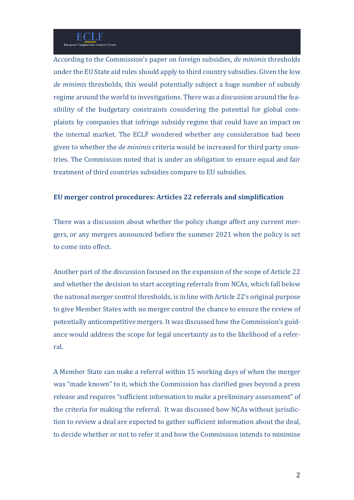According to the Commission's paper on foreign subsidies, *de minimis* thresholds under the EU State aid rules should apply to third country subsidies. Given the low *de minimis* thresholds, this would potentially subject a huge number of subsidy regime around the world to investigations. There was a discussion around the feasibility of the budgetary constraints considering the potential for global complaints by companies that infringe subsidy regime that could have an impact on the internal market. The ECLF wondered whether any consideration had been given to whether the *de minimis* criteria would be increased for third party countries. The Commission noted that is under an obligation to ensure equal and fair treatment of third countries subsidies compare to EU subsidies.

## **EU merger control procedures: Articles 22 referrals and simplification**

There was a discussion about whether the policy change affect any current mergers, or any mergers announced before the summer 2021 when the policy is set to come into effect.

Another part of the discussion focused on the expansion of the scope of Article 22 and whether the decision to start accepting referrals from NCAs, which fall below the national merger control thresholds, is in line with Article 22's original purpose to give Member States with no merger control the chance to ensure the review of potentially anticompetitive mergers. It was discussed how the Commission's guidance would address the scope for legal uncertainty as to the likelihood of a referral.

A Member State can make a referral within 15 working days of when the merger was "made known" to it, which the Commission has clarified goes beyond a press release and requires "sufficient information to make a preliminary assessment" of the criteria for making the referral. It was discussed how NCAs without jurisdiction to review a deal are expected to gather sufficient information about the deal, to decide whether or not to refer it and how the Commission intends to minimise